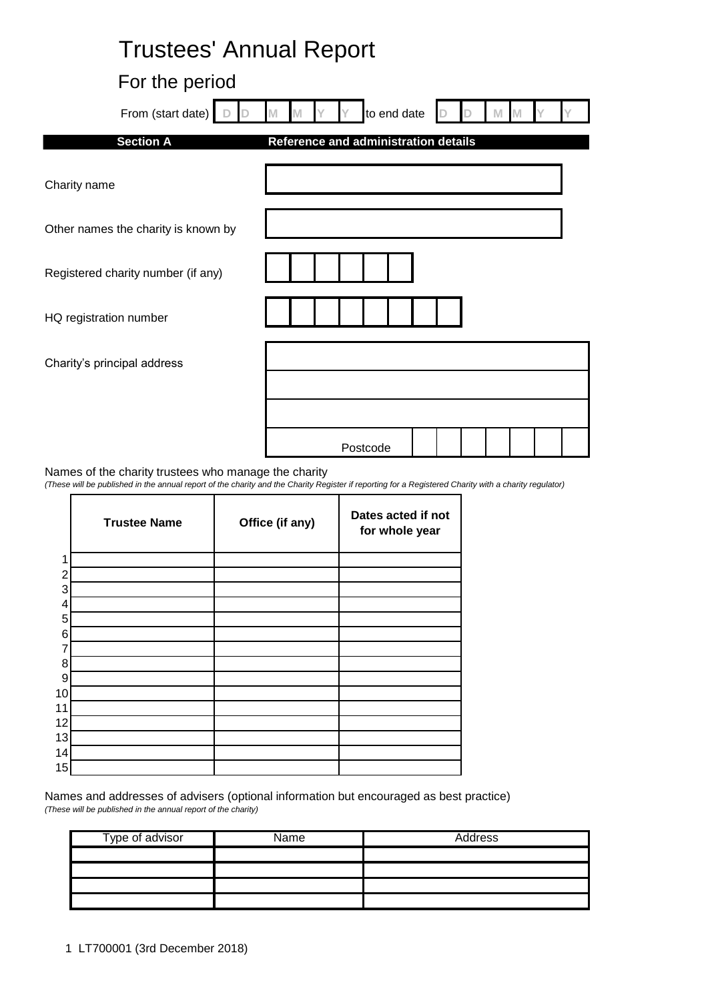| <b>Trustees' Annual Report</b>      |                                      |
|-------------------------------------|--------------------------------------|
| For the period                      |                                      |
| From (start date)                   | to end date                          |
| <b>Section A</b>                    | Reference and administration details |
| Charity name                        |                                      |
| Other names the charity is known by |                                      |
| Registered charity number (if any)  |                                      |
| HQ registration number              |                                      |
| Charity's principal address         |                                      |
|                                     |                                      |
|                                     | Postcode                             |

Names of the charity trustees who manage the charity

ń

*(These will be published in the annual report of the charity and the Charity Register if reporting for a Registered Charity with a charity regulator)*

|                | <b>Trustee Name</b> | Office (if any) | Dates acted if not<br>for whole year |
|----------------|---------------------|-----------------|--------------------------------------|
| 1              |                     |                 |                                      |
| $\overline{2}$ |                     |                 |                                      |
| 3              |                     |                 |                                      |
| 4              |                     |                 |                                      |
| 5              |                     |                 |                                      |
| 6              |                     |                 |                                      |
| 7              |                     |                 |                                      |
| 8              |                     |                 |                                      |
| 9              |                     |                 |                                      |
| 10             |                     |                 |                                      |
| 11             |                     |                 |                                      |
| 12             |                     |                 |                                      |
| 13             |                     |                 |                                      |
| 14             |                     |                 |                                      |
| 15             |                     |                 |                                      |

Names and addresses of advisers (optional information but encouraged as best practice) *(These will be published in the annual report of the charity)*

| Type of advisor | Name | Address |
|-----------------|------|---------|
|                 |      |         |
|                 |      |         |
|                 |      |         |
|                 |      |         |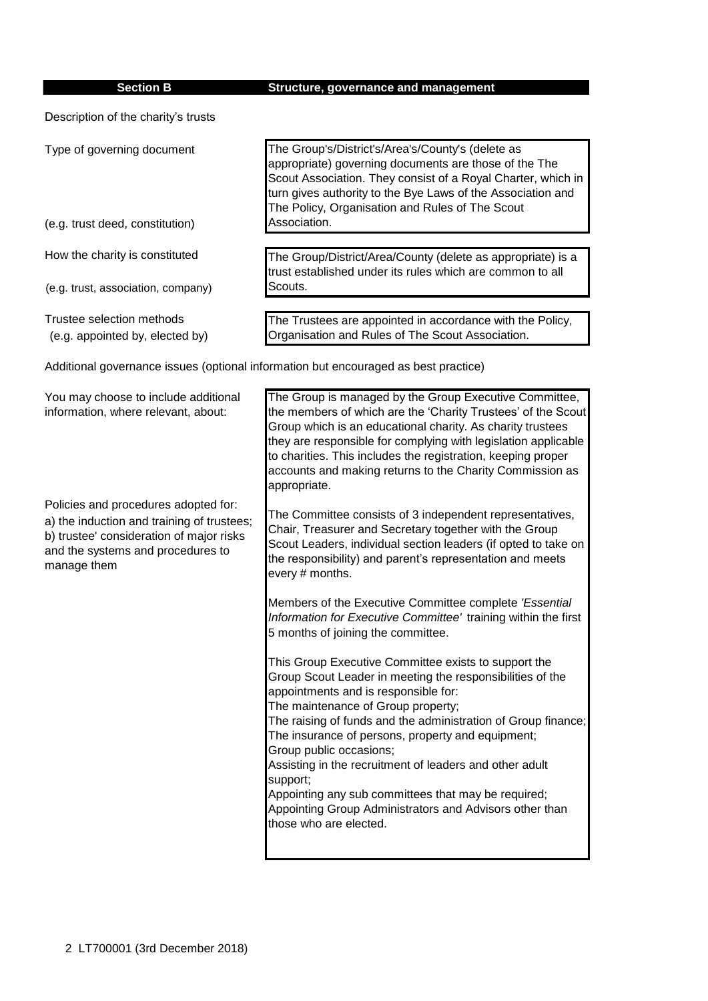| <b>Section B</b>                                                                                                                                                                   | Structure, governance and management                                                                                                                                                                                                                                                                                                                                                                                                                                                                                                                                |  |
|------------------------------------------------------------------------------------------------------------------------------------------------------------------------------------|---------------------------------------------------------------------------------------------------------------------------------------------------------------------------------------------------------------------------------------------------------------------------------------------------------------------------------------------------------------------------------------------------------------------------------------------------------------------------------------------------------------------------------------------------------------------|--|
| Description of the charity's trusts                                                                                                                                                |                                                                                                                                                                                                                                                                                                                                                                                                                                                                                                                                                                     |  |
| Type of governing document                                                                                                                                                         | The Group's/District's/Area's/County's (delete as<br>appropriate) governing documents are those of the The<br>Scout Association. They consist of a Royal Charter, which in<br>turn gives authority to the Bye Laws of the Association and<br>The Policy, Organisation and Rules of The Scout                                                                                                                                                                                                                                                                        |  |
| (e.g. trust deed, constitution)                                                                                                                                                    | Association.                                                                                                                                                                                                                                                                                                                                                                                                                                                                                                                                                        |  |
| How the charity is constituted                                                                                                                                                     | The Group/District/Area/County (delete as appropriate) is a<br>trust established under its rules which are common to all                                                                                                                                                                                                                                                                                                                                                                                                                                            |  |
| (e.g. trust, association, company)                                                                                                                                                 | Scouts.                                                                                                                                                                                                                                                                                                                                                                                                                                                                                                                                                             |  |
| Trustee selection methods<br>(e.g. appointed by, elected by)                                                                                                                       | The Trustees are appointed in accordance with the Policy,<br>Organisation and Rules of The Scout Association.                                                                                                                                                                                                                                                                                                                                                                                                                                                       |  |
| Additional governance issues (optional information but encouraged as best practice)                                                                                                |                                                                                                                                                                                                                                                                                                                                                                                                                                                                                                                                                                     |  |
| You may choose to include additional<br>information, where relevant, about:                                                                                                        | The Group is managed by the Group Executive Committee,<br>the members of which are the 'Charity Trustees' of the Scout<br>Group which is an educational charity. As charity trustees<br>they are responsible for complying with legislation applicable<br>to charities. This includes the registration, keeping proper<br>accounts and making returns to the Charity Commission as<br>appropriate.                                                                                                                                                                  |  |
| Policies and procedures adopted for:<br>a) the induction and training of trustees;<br>b) trustee' consideration of major risks<br>and the systems and procedures to<br>manage them | The Committee consists of 3 independent representatives,<br>Chair, Treasurer and Secretary together with the Group<br>Scout Leaders, individual section leaders (if opted to take on<br>the responsibility) and parent's representation and meets<br>every # months.                                                                                                                                                                                                                                                                                                |  |
|                                                                                                                                                                                    | Members of the Executive Committee complete 'Essential<br>Information for Executive Committee' training within the first<br>5 months of joining the committee.                                                                                                                                                                                                                                                                                                                                                                                                      |  |
|                                                                                                                                                                                    | This Group Executive Committee exists to support the<br>Group Scout Leader in meeting the responsibilities of the<br>appointments and is responsible for:<br>The maintenance of Group property;<br>The raising of funds and the administration of Group finance;<br>The insurance of persons, property and equipment;<br>Group public occasions;<br>Assisting in the recruitment of leaders and other adult<br>support;<br>Appointing any sub committees that may be required;<br>Appointing Group Administrators and Advisors other than<br>those who are elected. |  |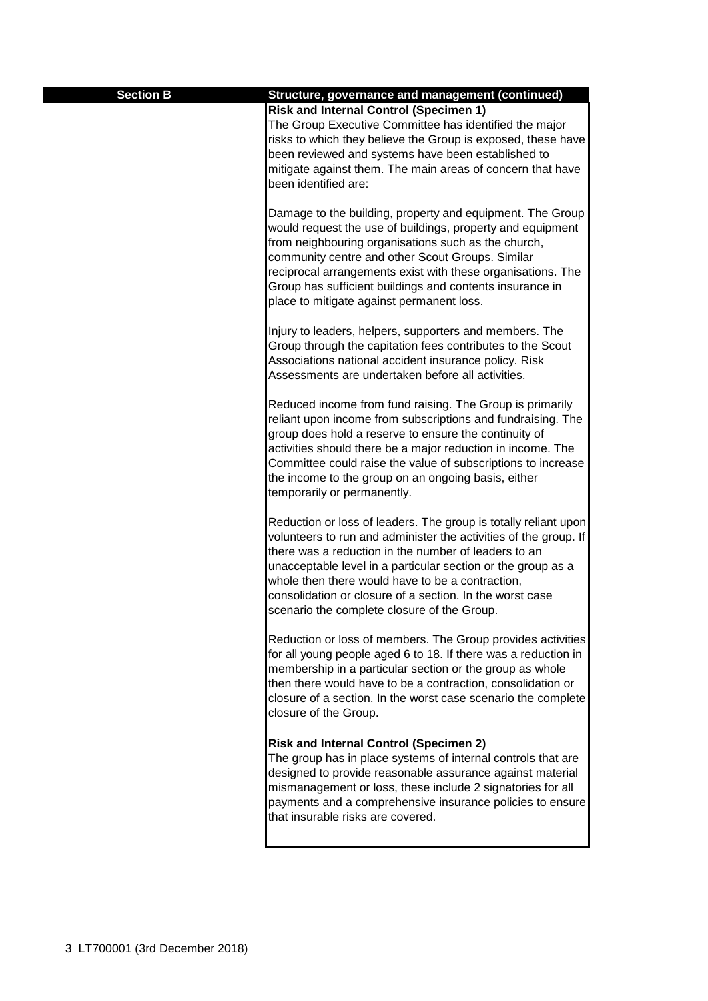| <b>Section B</b> | Structure, governance and management (continued)                                                                                                                                                                                                                                                                                                                                                                           |
|------------------|----------------------------------------------------------------------------------------------------------------------------------------------------------------------------------------------------------------------------------------------------------------------------------------------------------------------------------------------------------------------------------------------------------------------------|
|                  | <b>Risk and Internal Control (Specimen 1)</b>                                                                                                                                                                                                                                                                                                                                                                              |
|                  | The Group Executive Committee has identified the major<br>risks to which they believe the Group is exposed, these have<br>been reviewed and systems have been established to<br>mitigate against them. The main areas of concern that have<br>been identified are:                                                                                                                                                         |
|                  | Damage to the building, property and equipment. The Group<br>would request the use of buildings, property and equipment<br>from neighbouring organisations such as the church,<br>community centre and other Scout Groups. Similar<br>reciprocal arrangements exist with these organisations. The<br>Group has sufficient buildings and contents insurance in<br>place to mitigate against permanent loss.                 |
|                  | Injury to leaders, helpers, supporters and members. The<br>Group through the capitation fees contributes to the Scout<br>Associations national accident insurance policy. Risk<br>Assessments are undertaken before all activities.                                                                                                                                                                                        |
|                  | Reduced income from fund raising. The Group is primarily<br>reliant upon income from subscriptions and fundraising. The<br>group does hold a reserve to ensure the continuity of<br>activities should there be a major reduction in income. The<br>Committee could raise the value of subscriptions to increase<br>the income to the group on an ongoing basis, either<br>temporarily or permanently.                      |
|                  | Reduction or loss of leaders. The group is totally reliant upon<br>volunteers to run and administer the activities of the group. If<br>there was a reduction in the number of leaders to an<br>unacceptable level in a particular section or the group as a<br>whole then there would have to be a contraction,<br>consolidation or closure of a section. In the worst case<br>scenario the complete closure of the Group. |
|                  | Reduction or loss of members. The Group provides activities<br>for all young people aged 6 to 18. If there was a reduction in<br>membership in a particular section or the group as whole<br>then there would have to be a contraction, consolidation or<br>closure of a section. In the worst case scenario the complete<br>closure of the Group.                                                                         |
|                  | <b>Risk and Internal Control (Specimen 2)</b><br>The group has in place systems of internal controls that are<br>designed to provide reasonable assurance against material<br>mismanagement or loss, these include 2 signatories for all<br>payments and a comprehensive insurance policies to ensure<br>that insurable risks are covered.                                                                                 |
|                  |                                                                                                                                                                                                                                                                                                                                                                                                                            |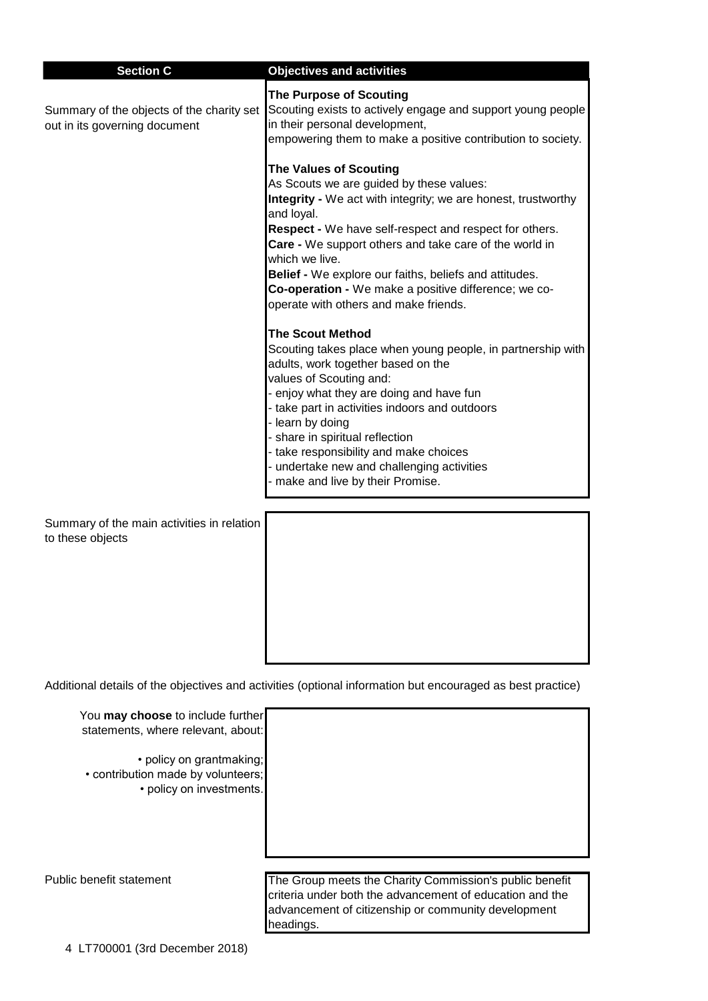| <b>Section C</b>                                                           | <b>Objectives and activities</b>                                                                                                                                                                                                                                                                                                                                                                                                                          |
|----------------------------------------------------------------------------|-----------------------------------------------------------------------------------------------------------------------------------------------------------------------------------------------------------------------------------------------------------------------------------------------------------------------------------------------------------------------------------------------------------------------------------------------------------|
| Summary of the objects of the charity set<br>out in its governing document | <b>The Purpose of Scouting</b><br>Scouting exists to actively engage and support young people<br>in their personal development,<br>empowering them to make a positive contribution to society.                                                                                                                                                                                                                                                            |
|                                                                            | <b>The Values of Scouting</b><br>As Scouts we are guided by these values:<br>Integrity - We act with integrity; we are honest, trustworthy<br>and loyal.<br>Respect - We have self-respect and respect for others.<br>Care - We support others and take care of the world in<br>which we live.<br>Belief - We explore our faiths, beliefs and attitudes.<br>Co-operation - We make a positive difference; we co-<br>operate with others and make friends. |
|                                                                            | <b>The Scout Method</b><br>Scouting takes place when young people, in partnership with<br>adults, work together based on the<br>values of Scouting and:<br>- enjoy what they are doing and have fun<br>- take part in activities indoors and outdoors<br>learn by doing<br>share in spiritual reflection<br>take responsibility and make choices<br>undertake new and challenging activities<br>make and live by their Promise.                           |
| Summary of the main activities in relation<br>to these objects             |                                                                                                                                                                                                                                                                                                                                                                                                                                                           |

Additional details of the objectives and activities (optional information but encouraged as best practice)

| You may choose to include further<br>statements, where relevant, about:                    |                                                                                                                                                                            |
|--------------------------------------------------------------------------------------------|----------------------------------------------------------------------------------------------------------------------------------------------------------------------------|
| • policy on grantmaking;<br>• contribution made by volunteers;<br>• policy on investments. |                                                                                                                                                                            |
|                                                                                            |                                                                                                                                                                            |
| Public benefit statement                                                                   | The Group meets the Charity Commission's public benefit<br>criteria under both the advancement of education and the<br>advancement of citizenship or community development |

headings.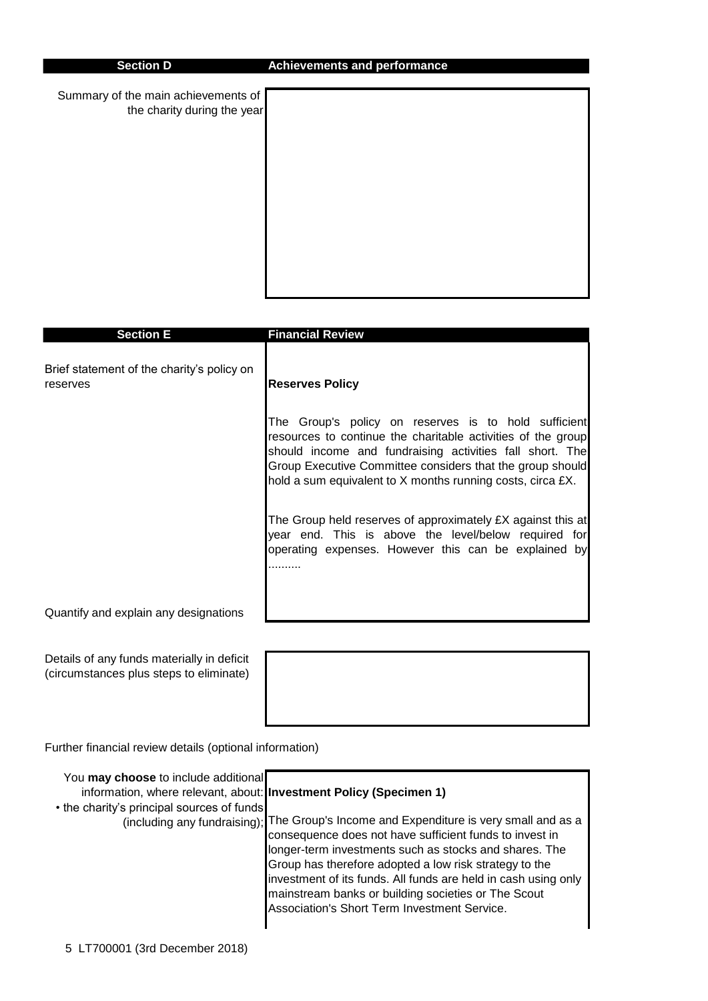Summary of the main achievements of the charity during the year



| <b>Section E</b>                                                                      | <b>Financial Review</b>                                                                                                                                                                                                                                                                                     |
|---------------------------------------------------------------------------------------|-------------------------------------------------------------------------------------------------------------------------------------------------------------------------------------------------------------------------------------------------------------------------------------------------------------|
| Brief statement of the charity's policy on<br>reserves                                | <b>Reserves Policy</b>                                                                                                                                                                                                                                                                                      |
|                                                                                       | The Group's policy on reserves is to hold sufficient<br>resources to continue the charitable activities of the group<br>should income and fundraising activities fall short. The<br>Group Executive Committee considers that the group should<br>hold a sum equivalent to X months running costs, circa £X. |
|                                                                                       | The Group held reserves of approximately £X against this at<br>year end. This is above the level/below required for<br>operating expenses. However this can be explained by                                                                                                                                 |
| Quantify and explain any designations                                                 |                                                                                                                                                                                                                                                                                                             |
| Details of any funds materially in deficit<br>(circumstances plus steps to eliminate) |                                                                                                                                                                                                                                                                                                             |

Further financial review details (optional information)

| You may choose to include additional<br>information, where relevant, about: Investment Policy (Specimen 1)<br>• the charity's principal sources of funds | (including any fundraising); The Group's Income and Expenditure is very small and as a<br>consequence does not have sufficient funds to invest in<br>longer-term investments such as stocks and shares. The<br>Group has therefore adopted a low risk strategy to the<br>investment of its funds. All funds are held in cash using only<br>mainstream banks or building societies or The Scout<br>Association's Short Term Investment Service. |
|----------------------------------------------------------------------------------------------------------------------------------------------------------|------------------------------------------------------------------------------------------------------------------------------------------------------------------------------------------------------------------------------------------------------------------------------------------------------------------------------------------------------------------------------------------------------------------------------------------------|
|----------------------------------------------------------------------------------------------------------------------------------------------------------|------------------------------------------------------------------------------------------------------------------------------------------------------------------------------------------------------------------------------------------------------------------------------------------------------------------------------------------------------------------------------------------------------------------------------------------------|